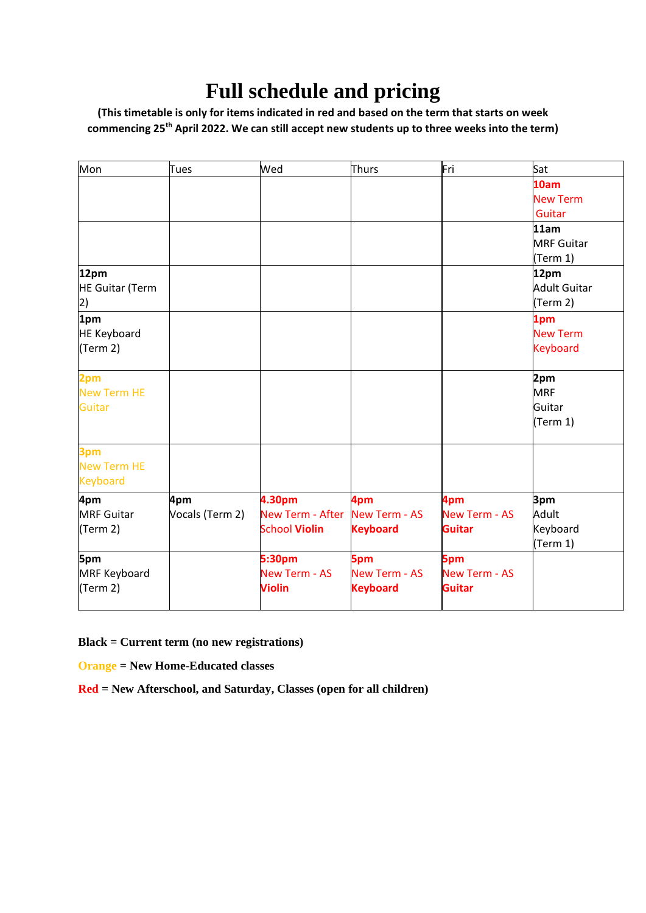## **Full schedule and pricing**

**(This timetable is only for items indicated in red and based on the term that starts on week commencing 25th April 2022. We can still accept new students up to three weeks into the term)**

| Mon                                   | Tues            | Wed                     | Thurs                | Fri                  | Sat                 |
|---------------------------------------|-----------------|-------------------------|----------------------|----------------------|---------------------|
|                                       |                 |                         |                      |                      | 10am                |
|                                       |                 |                         |                      |                      | <b>New Term</b>     |
|                                       |                 |                         |                      |                      | Guitar              |
|                                       |                 |                         |                      |                      | 11am                |
|                                       |                 |                         |                      |                      | <b>MRF Guitar</b>   |
|                                       |                 |                         |                      |                      | (Term 1)            |
| 12pm                                  |                 |                         |                      |                      | 12pm                |
| <b>HE Guitar (Term</b>                |                 |                         |                      |                      | <b>Adult Guitar</b> |
| 2)                                    |                 |                         |                      |                      | (Term 2)            |
| 1pm                                   |                 |                         |                      |                      | 1pm                 |
| <b>HE Keyboard</b>                    |                 |                         |                      |                      | <b>New Term</b>     |
| (Term 2)                              |                 |                         |                      |                      | <b>Keyboard</b>     |
| 2pm                                   |                 |                         |                      |                      | 2pm                 |
| <b>New Term HE</b>                    |                 |                         |                      |                      | <b>MRF</b>          |
| Guitar                                |                 |                         |                      |                      | Guitar              |
|                                       |                 |                         |                      |                      | (Term 1)            |
| 3pm                                   |                 |                         |                      |                      |                     |
| <b>New Term HE</b><br><b>Keyboard</b> |                 |                         |                      |                      |                     |
| 4pm                                   | 4pm             | 4.30pm                  | 4pm                  | 4pm                  | 3pm                 |
| <b>MRF Guitar</b>                     | Vocals (Term 2) | <b>New Term - After</b> | <b>New Term - AS</b> | <b>New Term - AS</b> | Adult               |
| (Term 2)                              |                 | <b>School Violin</b>    | <b>Keyboard</b>      | <b>Guitar</b>        | Keyboard            |
|                                       |                 |                         |                      |                      | (Term 1)            |
| 5pm                                   |                 | 5:30pm                  | 5pm                  | 5pm                  |                     |
| MRF Keyboard                          |                 | <b>New Term - AS</b>    | <b>New Term - AS</b> | <b>New Term - AS</b> |                     |
| (Term 2)                              |                 | <b>Violin</b>           | <b>Keyboard</b>      | <b>Guitar</b>        |                     |

**Black = Current term (no new registrations)**

**Orange = New Home-Educated classes**

**Red = New Afterschool, and Saturday, Classes (open for all children)**